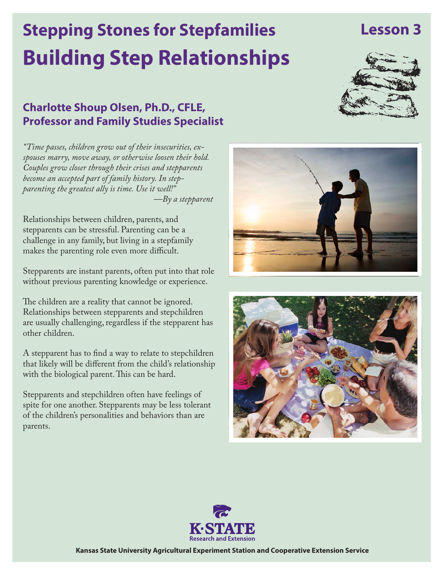# **Building Step Relationships Stepping Stones for Stepfamilies**

# **Charlotte Shoup Olsen, Ph.D., CFLE, Professor and Family Studies Specialist**

*"Time passes, children grow out of their insecurities, exspouses marry, move away, or otherwise loosen their hold. Couples grow closer through their crises and stepparents become an accepted part of family history. In stepparenting the greatest ally is time. Use it well!" —By a stepparent*

Relationships between children, parents, and stepparents can be stressful. Parenting can be a challenge in any family, but living in a stepfamily makes the parenting role even more difficult.

Stepparents are instant parents, often put into that role without previous parenting knowledge or experience.

The children are a reality that cannot be ignored. Relationships between stepparents and stepchildren are usually challenging, regardless if the stepparent has other children.

A stepparent has to find a way to relate to stepchildren that likely will be different from the child's relationship with the biological parent. This can be hard.

Stepparents and stepchildren often have feelings of spite for one another. Stepparents may be less tolerant of the children's personalities and behaviors than are parents.











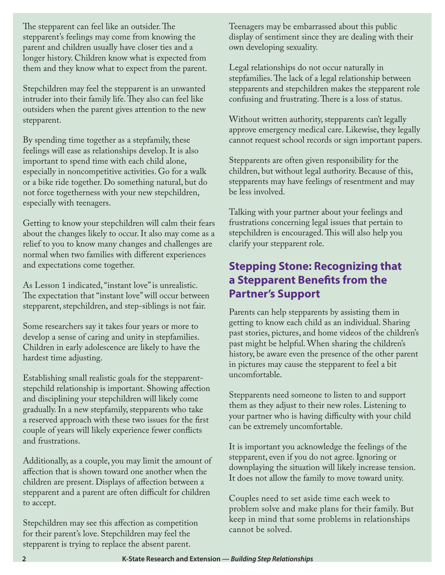The stepparent can feel like an outsider. The stepparent's feelings may come from knowing the parent and children usually have closer ties and a longer history. Children know what is expected from them and they know what to expect from the parent.

Stepchildren may feel the stepparent is an unwanted intruder into their family life. They also can feel like outsiders when the parent gives attention to the new stepparent.

By spending time together as a stepfamily, these feelings will ease as relationships develop. It is also important to spend time with each child alone, especially in noncompetitive activities. Go for a walk or a bike ride together. Do something natural, but do not force togetherness with your new stepchildren, especially with teenagers.

Getting to know your stepchildren will calm their fears about the changes likely to occur. It also may come as a relief to you to know many changes and challenges are normal when two families with different experiences and expectations come together.

As Lesson 1 indicated, "instant love" is unrealistic. The expectation that "instant love" will occur between stepparent, stepchildren, and step-siblings is not fair.

Some researchers say it takes four years or more to develop a sense of caring and unity in stepfamilies. Children in early adolescence are likely to have the hardest time adjusting.

Establishing small realistic goals for the stepparentstepchild relationship is important. Showing affection and disciplining your stepchildren will likely come gradually. In a new stepfamily, stepparents who take a reserved approach with these two issues for the first couple of years will likely experience fewer conflicts and frustrations.

Additionally, as a couple, you may limit the amount of affection that is shown toward one another when the children are present. Displays of affection between a stepparent and a parent are often difficult for children to accept.

Stepchildren may see this affection as competition for their parent's love. Stepchildren may feel the stepparent is trying to replace the absent parent.

Teenagers may be embarrassed about this public display of sentiment since they are dealing with their own developing sexuality.

Legal relationships do not occur naturally in stepfamilies. The lack of a legal relationship between stepparents and stepchildren makes the stepparent role confusing and frustrating. There is a loss of status.

Without written authority, stepparents can't legally approve emergency medical care. Likewise, they legally cannot request school records or sign important papers.

Stepparents are often given responsibility for the children, but without legal authority. Because of this, stepparents may have feelings of resentment and may be less involved.

Talking with your partner about your feelings and frustrations concerning legal issues that pertain to stepchildren is encouraged. This will also help you clarify your stepparent role.

# **Stepping Stone: Recognizing that a Stepparent Benefits from the Partner's Support**

Parents can help stepparents by assisting them in getting to know each child as an individual. Sharing past stories, pictures, and home videos of the children's past might be helpful. When sharing the children's history, be aware even the presence of the other parent in pictures may cause the stepparent to feel a bit uncomfortable.

Stepparents need someone to listen to and support them as they adjust to their new roles. Listening to your partner who is having difficulty with your child can be extremely uncomfortable.

It is important you acknowledge the feelings of the stepparent, even if you do not agree. Ignoring or downplaying the situation will likely increase tension. It does not allow the family to move toward unity.

Couples need to set aside time each week to problem solve and make plans for their family. But keep in mind that some problems in relationships cannot be solved.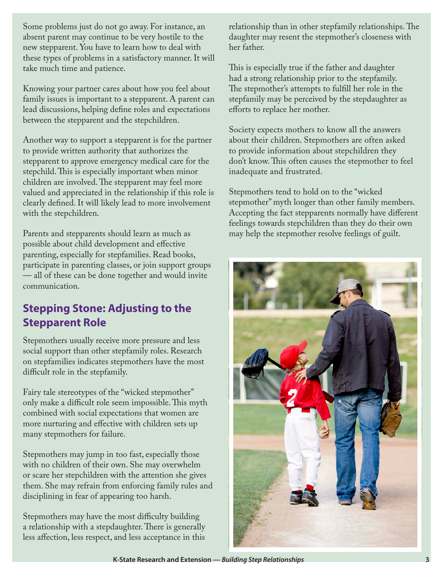Some problems just do not go away. For instance, an absent parent may continue to be very hostile to the new stepparent. You have to learn how to deal with these types of problems in a satisfactory manner. It will take much time and patience.

Knowing your partner cares about how you feel about family issues is important to a stepparent. A parent can lead discussions, helping define roles and expectations between the stepparent and the stepchildren.

Another way to support a stepparent is for the partner to provide written authority that authorizes the stepparent to approve emergency medical care for the stepchild. This is especially important when minor children are involved. The stepparent may feel more valued and appreciated in the relationship if this role is clearly defined. It will likely lead to more involvement with the stepchildren.

Parents and stepparents should learn as much as possible about child development and effective parenting, especially for stepfamilies. Read books, participate in parenting classes, or join support groups — all of these can be done together and would invite communication.

# **Stepping Stone: Adjusting to the Stepparent Role**

Stepmothers usually receive more pressure and less social support than other stepfamily roles. Research on stepfamilies indicates stepmothers have the most difficult role in the stepfamily.

Fairy tale stereotypes of the "wicked stepmother" only make a difficult role seem impossible. This myth combined with social expectations that women are more nurturing and effective with children sets up many stepmothers for failure.

Stepmothers may jump in too fast, especially those with no children of their own. She may overwhelm or scare her stepchildren with the attention she gives them. She may refrain from enforcing family rules and disciplining in fear of appearing too harsh.

Stepmothers may have the most difficulty building a relationship with a stepdaughter. There is generally less affection, less respect, and less acceptance in this

relationship than in other stepfamily relationships. The daughter may resent the stepmother's closeness with her father.

This is especially true if the father and daughter had a strong relationship prior to the stepfamily. The stepmother's attempts to fulfill her role in the stepfamily may be perceived by the stepdaughter as efforts to replace her mother.

Society expects mothers to know all the answers about their children. Stepmothers are often asked to provide information about stepchildren they don't know. This often causes the stepmother to feel inadequate and frustrated.

Stepmothers tend to hold on to the "wicked stepmother" myth longer than other family members. Accepting the fact stepparents normally have different feelings towards stepchildren than they do their own may help the stepmother resolve feelings of guilt.



**K-State Research and Extension —** *Building Step Relationships* **3**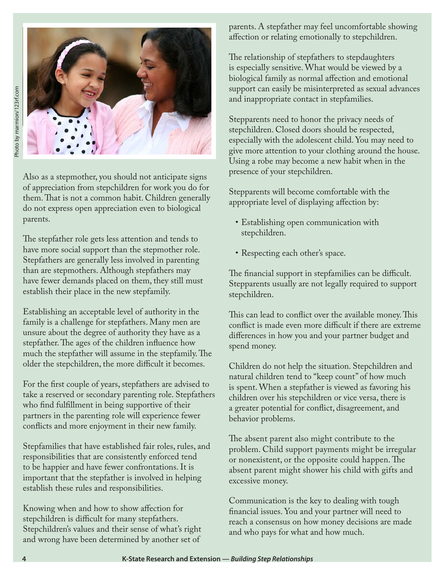

Also as a stepmother, you should not anticipate signs of appreciation from stepchildren for work you do for them. That is not a common habit. Children generally do not express open appreciation even to biological parents.

The stepfather role gets less attention and tends to have more social support than the stepmother role. Stepfathers are generally less involved in parenting than are stepmothers. Although stepfathers may have fewer demands placed on them, they still must establish their place in the new stepfamily.

Establishing an acceptable level of authority in the family is a challenge for stepfathers. Many men are unsure about the degree of authority they have as a stepfather. The ages of the children influence how much the stepfather will assume in the stepfamily. The older the stepchildren, the more difficult it becomes.

For the first couple of years, stepfathers are advised to take a reserved or secondary parenting role. Stepfathers who find fulfillment in being supportive of their partners in the parenting role will experience fewer conflicts and more enjoyment in their new family.

Stepfamilies that have established fair roles, rules, and responsibilities that are consistently enforced tend to be happier and have fewer confrontations. It is important that the stepfather is involved in helping establish these rules and responsibilities.

Knowing when and how to show affection for stepchildren is difficult for many stepfathers. Stepchildren's values and their sense of what's right and wrong have been determined by another set of

parents. A stepfather may feel uncomfortable showing affection or relating emotionally to stepchildren.

The relationship of stepfathers to stepdaughters is especially sensitive. What would be viewed by a biological family as normal affection and emotional support can easily be misinterpreted as sexual advances and inappropriate contact in stepfamilies.

Stepparents need to honor the privacy needs of stepchildren. Closed doors should be respected, especially with the adolescent child. You may need to give more attention to your clothing around the house. Using a robe may become a new habit when in the presence of your stepchildren.

Stepparents will become comfortable with the appropriate level of displaying affection by:

- • Establishing open communication with stepchildren.
- Respecting each other's space.

The financial support in stepfamilies can be difficult. Stepparents usually are not legally required to support stepchildren.

This can lead to conflict over the available money. This conflict is made even more difficult if there are extreme differences in how you and your partner budget and spend money.

Children do not help the situation. Stepchildren and natural children tend to "keep count" of how much is spent. When a stepfather is viewed as favoring his children over his stepchildren or vice versa, there is a greater potential for conflict, disagreement, and behavior problems.

The absent parent also might contribute to the problem. Child support payments might be irregular or nonexistent, or the opposite could happen. The absent parent might shower his child with gifts and excessive money.

Communication is the key to dealing with tough financial issues. You and your partner will need to reach a consensus on how money decisions are made and who pays for what and how much.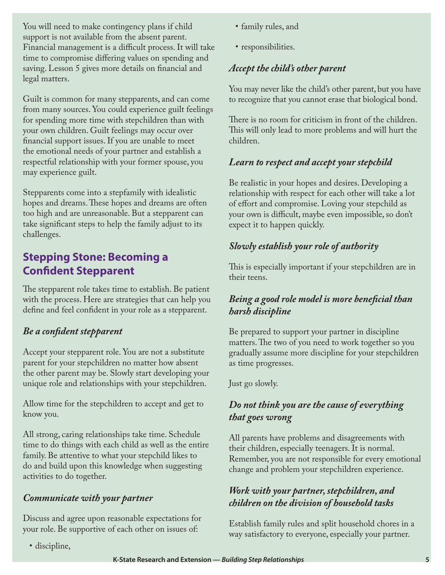You will need to make contingency plans if child support is not available from the absent parent. Financial management is a difficult process. It will take time to compromise differing values on spending and saving. Lesson 5 gives more details on financial and legal matters.

Guilt is common for many stepparents, and can come from many sources. You could experience guilt feelings for spending more time with stepchildren than with your own children. Guilt feelings may occur over financial support issues. If you are unable to meet the emotional needs of your partner and establish a respectful relationship with your former spouse, you may experience guilt.

Stepparents come into a stepfamily with idealistic hopes and dreams. These hopes and dreams are often too high and are unreasonable. But a stepparent can take significant steps to help the family adjust to its challenges.

# **Stepping Stone: Becoming a Confident Stepparent**

The stepparent role takes time to establish. Be patient with the process. Here are strategies that can help you define and feel confident in your role as a stepparent.

### *Be a confident stepparent*

Accept your stepparent role. You are not a substitute parent for your stepchildren no matter how absent the other parent may be. Slowly start developing your unique role and relationships with your stepchildren.

Allow time for the stepchildren to accept and get to know you.

All strong, caring relationships take time. Schedule time to do things with each child as well as the entire family. Be attentive to what your stepchild likes to do and build upon this knowledge when suggesting activities to do together.

#### *Communicate with your partner*

Discuss and agree upon reasonable expectations for your role. Be supportive of each other on issues of:

• discipline,

- • family rules, and
- responsibilities.

#### *Accept the child's other parent*

You may never like the child's other parent, but you have to recognize that you cannot erase that biological bond.

There is no room for criticism in front of the children. This will only lead to more problems and will hurt the children.

#### *Learn to respect and accept your stepchild*

Be realistic in your hopes and desires. Developing a relationship with respect for each other will take a lot of effort and compromise. Loving your stepchild as your own is difficult, maybe even impossible, so don't expect it to happen quickly.

#### *Slowly establish your role of authority*

This is especially important if your stepchildren are in their teens.

#### *Being a good role model is more beneficial than harsh discipline*

Be prepared to support your partner in discipline matters. The two of you need to work together so you gradually assume more discipline for your stepchildren as time progresses.

#### Just go slowly.

#### *Do not think you are the cause of everything that goes wrong*

All parents have problems and disagreements with their children, especially teenagers. It is normal. Remember, you are not responsible for every emotional change and problem your stepchildren experience.

#### *Work with your partner, stepchildren, and children on the division of household tasks*

Establish family rules and split household chores in a way satisfactory to everyone, especially your partner.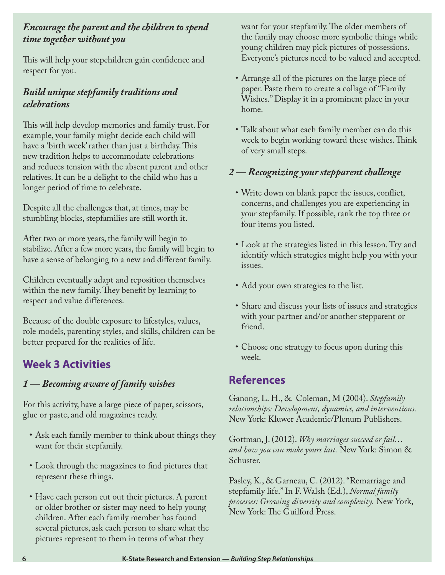#### *Encourage the parent and the children to spend time together without you*

This will help your stepchildren gain confidence and respect for you.

#### *Build unique stepfamily traditions and celebrations*

This will help develop memories and family trust. For example, your family might decide each child will have a 'birth week' rather than just a birthday. This new tradition helps to accommodate celebrations and reduces tension with the absent parent and other relatives. It can be a delight to the child who has a longer period of time to celebrate.

Despite all the challenges that, at times, may be stumbling blocks, stepfamilies are still worth it.

After two or more years, the family will begin to stabilize. After a few more years, the family will begin to have a sense of belonging to a new and different family.

Children eventually adapt and reposition themselves within the new family. They benefit by learning to respect and value differences.

Because of the double exposure to lifestyles, values, role models, parenting styles, and skills, children can be better prepared for the realities of life.

# **Week 3 Activities**

### *1 — Becoming aware of family wishes*

For this activity, have a large piece of paper, scissors, glue or paste, and old magazines ready.

- Ask each family member to think about things they want for their stepfamily.
- • Look through the magazines to find pictures that represent these things.
- Have each person cut out their pictures. A parent or older brother or sister may need to help young children. After each family member has found several pictures, ask each person to share what the pictures represent to them in terms of what they

want for your stepfamily. The older members of the family may choose more symbolic things while young children may pick pictures of possessions. Everyone's pictures need to be valued and accepted.

- Arrange all of the pictures on the large piece of paper. Paste them to create a collage of "Family Wishes." Display it in a prominent place in your home.
- • Talk about what each family member can do this week to begin working toward these wishes. Think of very small steps.

#### *2 — Recognizing your stepparent challenge*

- • Write down on blank paper the issues, conflict, concerns, and challenges you are experiencing in your stepfamily. If possible, rank the top three or four items you listed.
- • Look at the strategies listed in this lesson. Try and identify which strategies might help you with your issues.
- Add your own strategies to the list.
- Share and discuss your lists of issues and strategies with your partner and/or another stepparent or friend.
- • Choose one strategy to focus upon during this week.

# **References**

Ganong, L. H., & Coleman, M (2004). *Stepfamily relationships: Development, dynamics, and interventions.*  New York: Kluwer Academic/Plenum Publishers.

Gottman, J. (2012). *Why marriages succeed or fail… and how you can make yours last.* New York: Simon & Schuster.

Pasley, K., & Garneau, C. (2012). "Remarriage and stepfamily life." In F. Walsh (Ed.), *Normal family processes: Growing diversity and complexity.* New York, New York: The Guilford Press.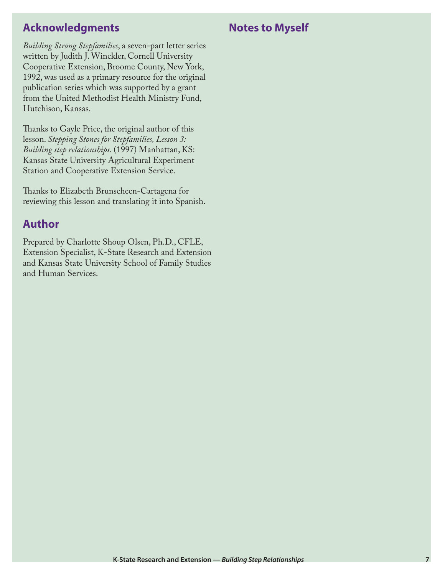## **Acknowledgments**

**Notes to Myself**

*Building Strong Stepfamilies*, a seven-part letter series written by Judith J. Winckler, Cornell University Cooperative Extension, Broome County, New York, 1992, was used as a primary resource for the original publication series which was supported by a grant from the United Methodist Health Ministry Fund, Hutchison, Kansas.

Thanks to Gayle Price, the original author of this lesson. *Stepping Stones for Stepfamilies, Lesson 3: Building step relationships.* (1997) Manhattan, KS: Kansas State University Agricultural Experiment Station and Cooperative Extension Service.

Thanks to Elizabeth Brunscheen-Cartagena for reviewing this lesson and translating it into Spanish.

### **Author**

Prepared by Charlotte Shoup Olsen, Ph.D., CFLE, Extension Specialist, K-State Research and Extension and Kansas State University School of Family Studies and Human Services.